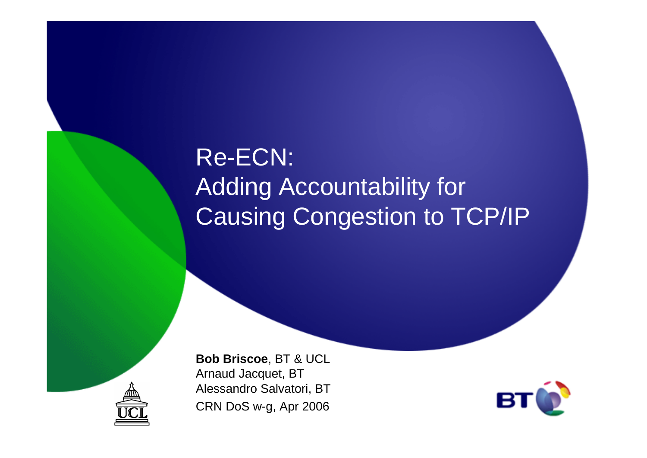# Re-ECN:Adding Accountability for Causing Congestion to TCP/IP



**Bob Briscoe**, BT & UCLArnaud Jacquet, BT Alessandro Salvatori, BTCRN DoS w-g, Apr 2006

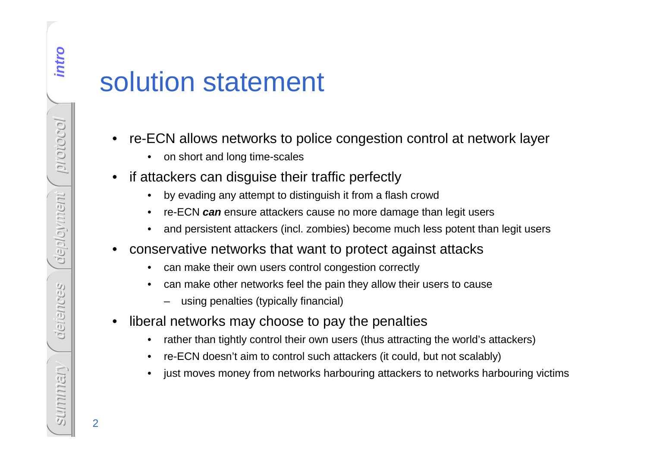# **solution statement**

- • re-ECN allows networks to police congestion control at network layer
	- •on short and long time-scales
- • if attackers can disguise their traffic perfectly
	- •by evading any attempt to distinguish it from a flash crowd
	- $\bullet$ re-ECN **can** ensure attackers cause no more damage than legit users
	- •and persistent attackers (incl. zombies) become much less potent than legit users
- • conservative networks that want to protect against attacks
	- $\bullet$ can make their own users control congestion correctly
	- • can make other networks feel the pain they allow their users to cause
		- using penalties (typically financial)
- • liberal networks may choose to pay the penalties
	- •rather than tightly control their own users (thus attracting the world's attackers)
	- •re-ECN doesn't aim to control such attackers (it could, but not scalably)
	- •just moves money from networks harbouring attackers to networks harbouring victims

2

intro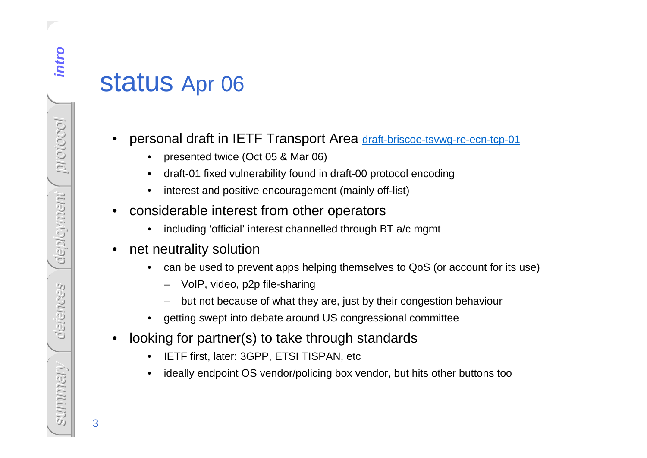# **intropolatus** Apr 06

- • personal draft in IETF Transport Area draft-briscoe-tsvwg-re-ecn-tcp-01
	- •presented twice (Oct 05 & Mar 06)
	- •draft-01 fixed vulnerability found in draft-00 protocol encoding
	- •interest and positive encouragement (mainly off-list)
- • considerable interest from other operators
	- •including 'official' interest channelled through BT a/c mgmt
- $\bullet$  net neutrality solution
	- can be used to prevent apps helping themselves to QoS (or account for its use) $\bullet$ 
		- VoIP, video, p2p file-sharing
		- but not because of what they are, just by their congestion behaviour
	- •getting swept into debate around US congressional committee
- • looking for partner(s) to take through standards
	- •IETF first, later: 3GPP, ETSI TISPAN, etc
	- •ideally endpoint OS vendor/policing box vendor, but hits other buttons too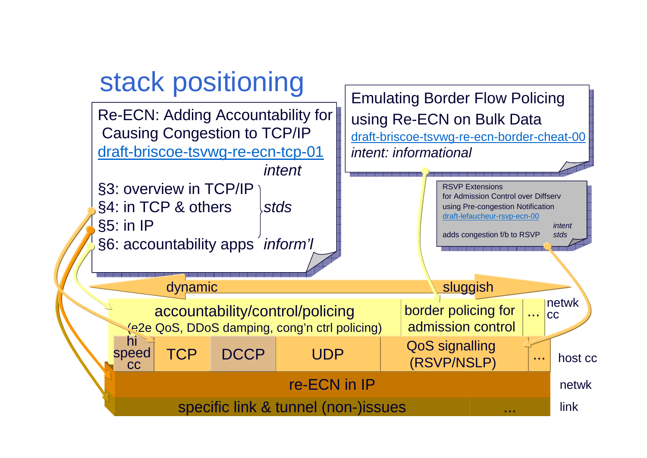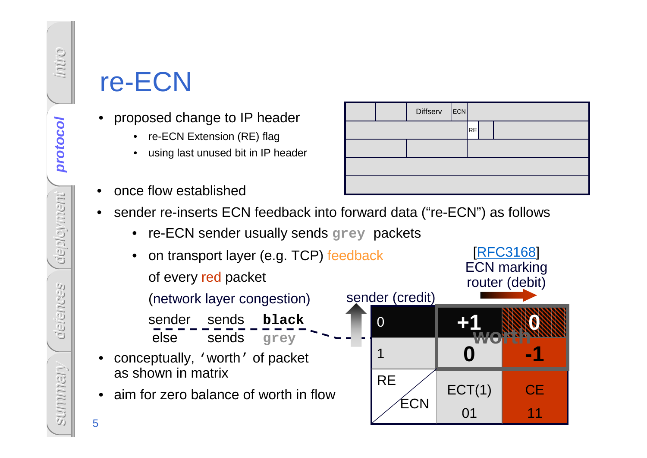# re-ECN

- • proposed change to IP header
	- •re-ECN Extension (RE) flag
	- •using last unused bit in IP header
- •once flow established
- • sender re-inserts ECN feedback into forward data ("re-ECN") as follows
	- re-ECN sender usually sends **grey** packets



RE**Diffserv ECN**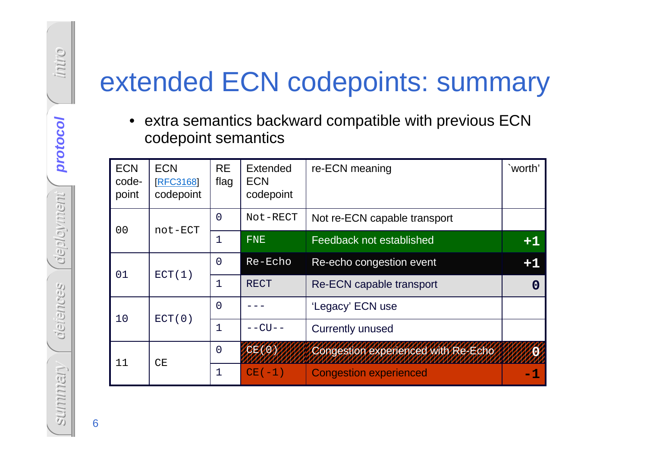# extended ECN codepoints: summary

• extra semantics backward compatible with previous ECN codepoint semantics

| <b>ECN</b><br>code-<br>point | <b>ECN</b><br><b>[RFC3168]</b><br>codepoint | <b>RE</b><br>flag | <b>Extended</b><br><b>ECN</b><br>codepoint | re-ECN meaning                      | `worth'  |
|------------------------------|---------------------------------------------|-------------------|--------------------------------------------|-------------------------------------|----------|
| 0 <sub>0</sub>               | not-ECT                                     | $\Omega$          | Not-RECT                                   | Not re-ECN capable transport        |          |
|                              |                                             | 1                 | <b>FNE</b>                                 | Feedback not established            | $+1$     |
| 01                           | ECT(1)                                      | $\Omega$          | Re-Echo                                    | Re-echo congestion event            | $+1$     |
|                              |                                             | 1                 | <b>RECT</b>                                | Re-ECN capable transport            | $\bf{0}$ |
| 10                           | ECT(0)                                      | $\Omega$          |                                            | 'Legacy' ECN use                    |          |
|                              |                                             | 1                 | $  CU$ $-$                                 | <b>Currently unused</b>             |          |
| 11                           | CЕ                                          | $\overline{0}$    | CE(0)                                      | Congestion experienced with Re-Echo |          |
|                              |                                             | $\mathbf 1$       | $CE(-1)$                                   | <b>Congestion experienced</b>       | -1       |

6

intro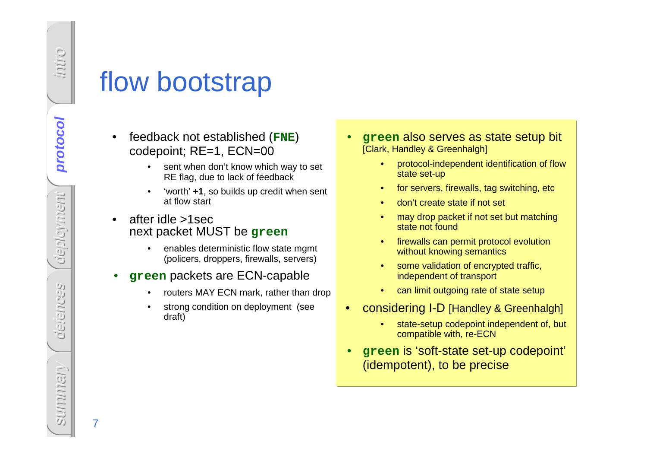o.nun

# flow bootstrap

- • feedback not established (**FNE**) codepoint; RE=1, ECN=00
	- sent when don't know which way to set •RE flag, due to lack of feedback
	- • 'worth' **+1**, so builds up credit when sent at flow start
- • after idle >1sec next packet MUST be **green**
	- • enables deterministic flow state mgmt (policers, droppers, firewalls, servers)
- • **green** packets are ECN-capable
	- •routers MAY ECN mark, rather than drop
	- • strong condition on deployment (see draft)
- • **green** also serves as state setup bit [Clark, Handley & Greenhalgh]
	- • protocol-independent identification of flow state set-up
	- •for servers, firewalls, tag switching, etc
	- •don't create state if not set
	- • may drop packet if not set but matching state not found
	- • firewalls can permit protocol evolution without knowing semantics
	- • some validation of encrypted traffic, independent of transport
	- •can limit outgoing rate of state setup
- • considering I-D [Handley & Greenhalgh]
	- • state-setup codepoint independent of, but compatible with, re-ECN
- • **green** is 'soft-state set-up codepoint' (idempotent), to be precise

7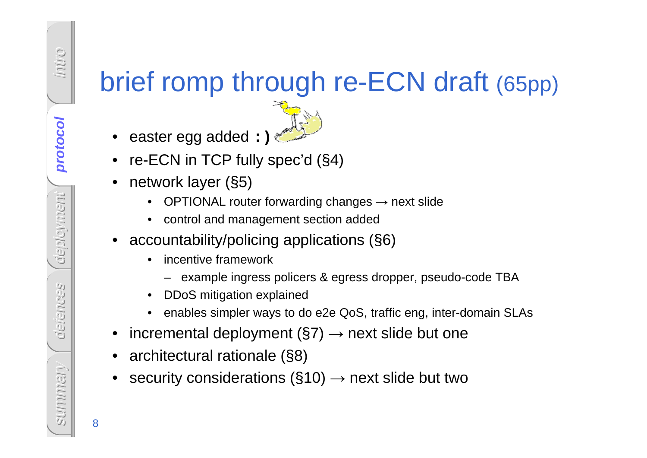# brief romp through re-ECN draft (65pp)

- •easter egg added **:)**
- re-ECN in TCP fully spec'd (§4)
- • network layer (§5)
	- OPTIONAL router forwarding changes → next slide<br>
	 control and menoment acation added
	- control and management section added
- • accountability/policing applications (§6)
	- • incentive framework
		- example ingress policers & egress dropper, pseudo-code TBA
	- •DDoS mitigation explained
	- •enables simpler ways to do e2e QoS, traffic eng, inter-domain SLAs
- incremental deployment (§7) → next slide but one<br>。erebitectural retionals (S8)
- •architectural rationale (§8)
- •security considerations ( $\S$ 10)  $\rightarrow$  next slide but two

8

o.nun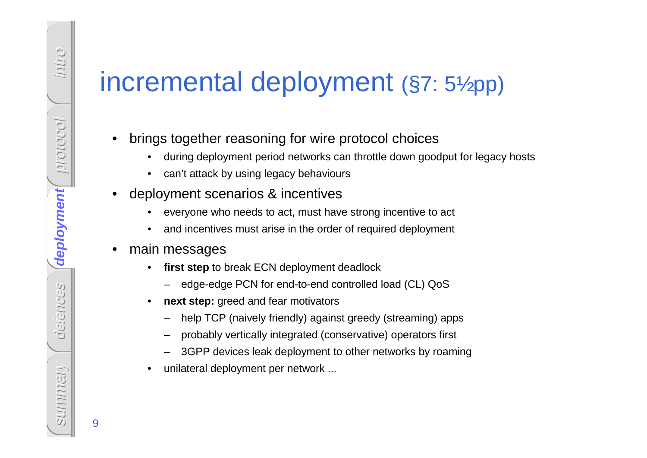# incremental deployment (§7: 5½pp)

- • brings together reasoning for wire protocol choices
	- during deployment period networks can throttle down goodput for legacy hosts •
	- •can't attack by using legacy behaviours
- • deployment scenarios & incentives
	- •everyone who needs to act, must have strong incentive to act
	- •and incentives must arise in the order of required deployment
- $\bullet$  main messages
	- $\bullet$  **first step** to break ECN deployment deadlock
		- edge-edge PCN for end-to-end controlled load (CL) QoS
	- •**next step:** greed and fear motivators
		- help TCP (naively friendly) against greedy (streaming) apps
		- probably vertically integrated (conservative) operators first
		- 3GPP devices leak deployment to other networks by roaming
	- •unilateral deployment per network ...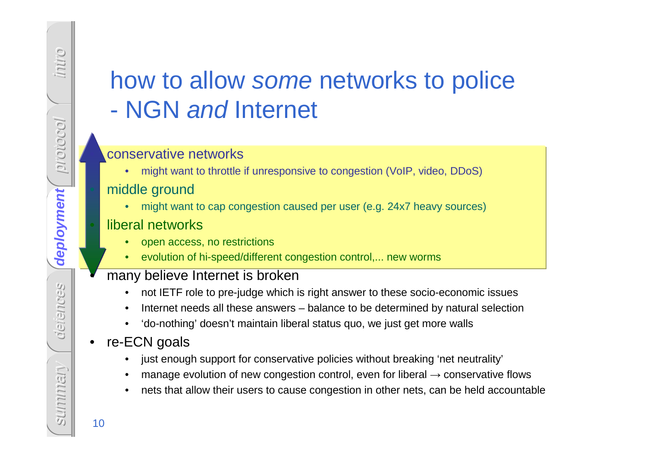## how to allow some networks to police -NGN and Internet

#### conservative networks

• might want to throttle if unresponsive to congestion (VoIP, video, DDoS)

#### middle ground

 might want to cap congestion caused per user (e.g. 24x7 heavy sources)•

#### liberal networks

- open access, no restrictions•
- evolution of hi-speed/different congestion control,... new worms•

#### many believe Internet is broken

- not IETF role to pre-judge which is right answer to these socio-economic issues $\bullet$
- •Internet needs all these answers – balance to be determined by natural selection
- $\bullet$ 'do-nothing' doesn't maintain liberal status quo, we just get more walls

#### $\bullet$ re-ECN goals

- •just enough support for conservative policies without breaking 'net neutrality'
- •manage evolution of new congestion control, even for liberal  $\rightarrow$  conservative flows<br>note that ellow their users to source consection in other note, can be held assemble
- •nets that allow their users to cause congestion in other nets, can be held accountable

•

intro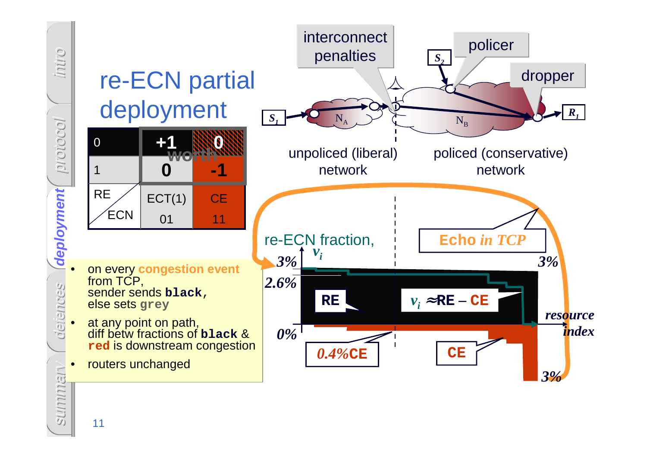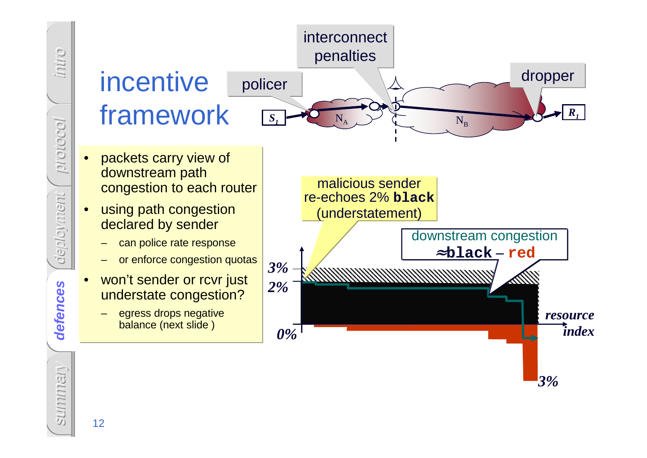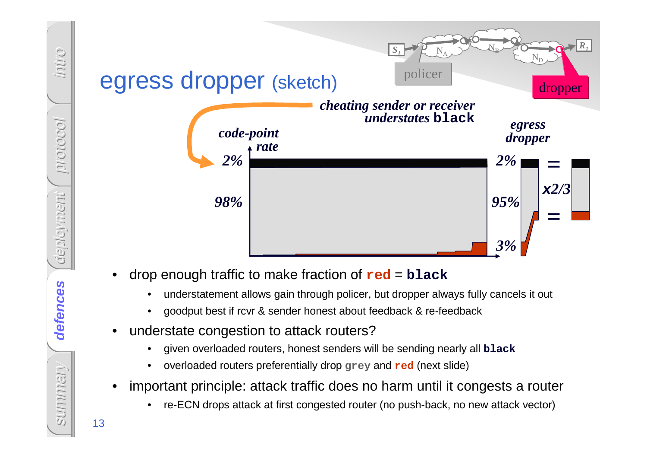

- -
	-
- -
	-
- -

intro

protocol

deployment

defences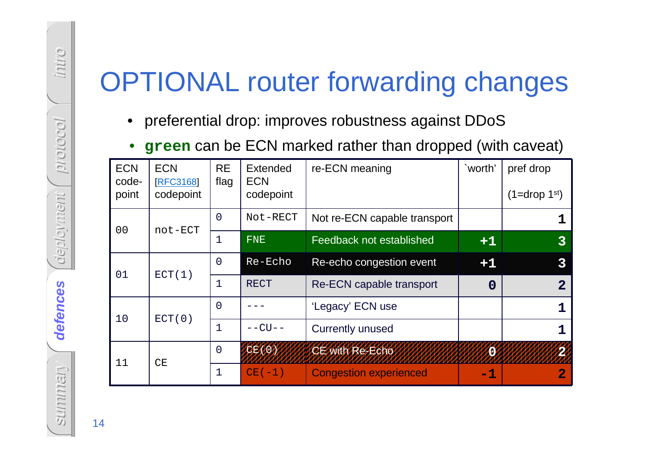- $\bullet$ preferential drop: improves robustness against DDoS
- •**green** can be ECN marked rather than dropped (with caveat)

| $\bullet$                    |                                           |                   |                                     | preferential drop: improves robustness against DDoS<br>green can be ECN marked rather than dropped (with caveat) |              |                             |
|------------------------------|-------------------------------------------|-------------------|-------------------------------------|------------------------------------------------------------------------------------------------------------------|--------------|-----------------------------|
| <b>ECN</b><br>code-<br>point | <b>ECN</b><br><b>RFC3168</b><br>codepoint | <b>RE</b><br>flag | Extended<br><b>ECN</b><br>codepoint | re-ECN meaning                                                                                                   | `worth'      | pref drop<br>$(1=drop 1st)$ |
|                              |                                           | $\overline{0}$    | Not-RECT                            | Not re-ECN capable transport                                                                                     |              |                             |
| 0 <sub>0</sub>               | not-ECT                                   | 1                 | <b>FNE</b>                          | Feedback not established                                                                                         | $+1$         |                             |
| 01                           |                                           | $\overline{0}$    | Re-Echo                             | Re-echo congestion event                                                                                         | $+1$         |                             |
|                              | ECT(1)                                    | 1                 | <b>RECT</b>                         | Re-ECN capable transport                                                                                         | $\mathbf{0}$ |                             |
| 10                           |                                           | $\overline{0}$    |                                     | 'Legacy' ECN use                                                                                                 |              |                             |
|                              | ECT(0)                                    | 1                 | $--CU--$                            | <b>Currently unused</b>                                                                                          |              |                             |
| 11                           | CE                                        | $\overline{0}$    |                                     | <b>CE with Re-Echo</b>                                                                                           |              |                             |
|                              |                                           | 1                 | $CE(-1)$                            | <b>Congestion experienced</b>                                                                                    | $-1$         |                             |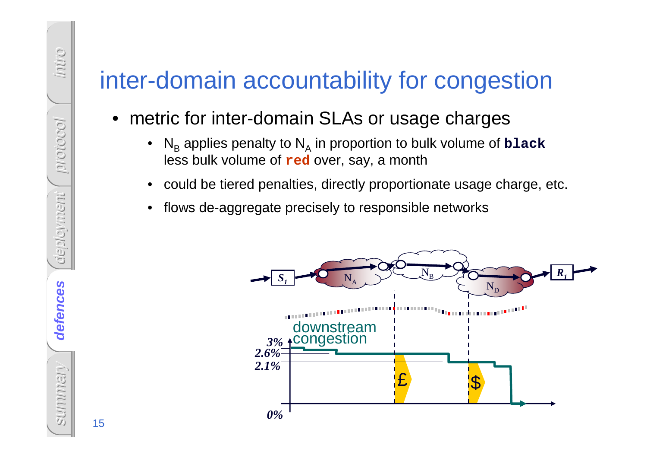# inter-domain accountability for congestion

## • metric for inter-domain SLAs or usage charges

- • $N_{\rm B}$  less bulk volume of **red** over, say, a month <sub>B</sub> applies penalty to N Ain proportion to bulk volume of **black**
- could be tiered penalties, directly proportionate usage charge, etc.
- •flows de-aggregate precisely to responsible networks

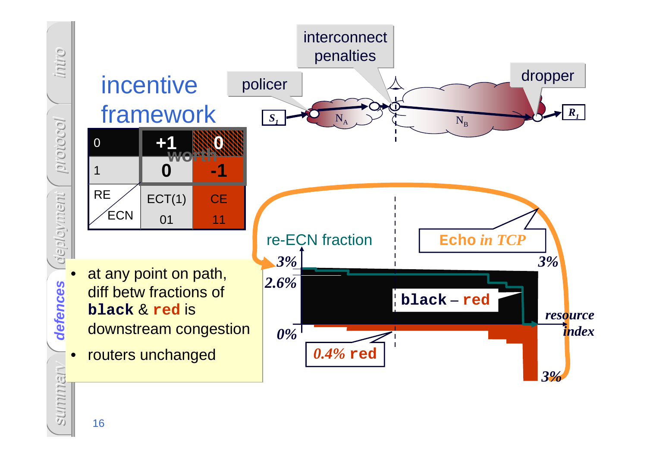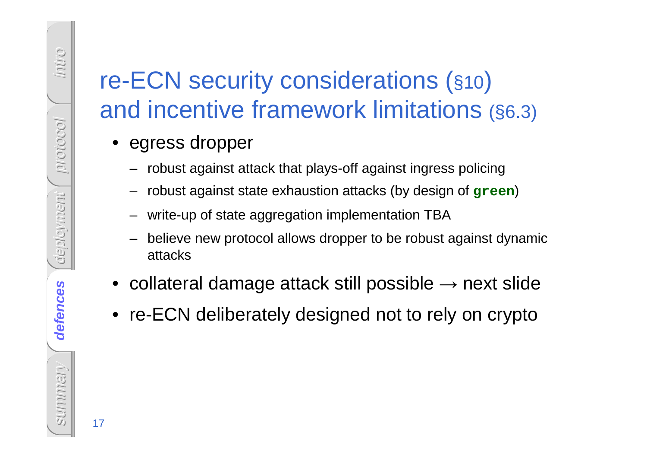# FRECN security considerations (§10<br>
and incentive framework limitations<br>
• egress dropper<br>
– robust against state exhaustion attacks (by design of g:<br>
– write-up of state aggregation implementation TBA<br>
– believe new prot re-ECN security considerations (§10) and incentive framework limitations (§6.3)

- egress dropper
	- robust against attack that plays-off against ingress policing
	- robust against state exhaustion attacks (by design of **green**)
	- write-up of state aggregation implementation TBA
	- believe new protocol allows dropper to be robust against dynamicattacks
- collateral damage attack still possible → next slide
- re-ECN deliberately designed not to rely on crypto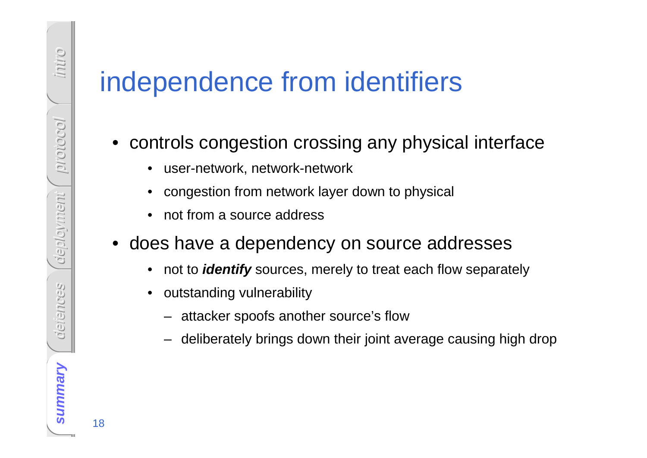# **is a summary of the controls congestion crossing any physical interface<br>
• controls congestion crossing any physical interface<br>
• congestion from network layer down to physical<br>
• congestion from metwork layer down to phy**

- controls congestion crossing any physical interface
	- user-network, network-network
	- •congestion from network layer down to physical
	- •not from a source address
- does have a dependency on source addresses
	- •not to **identify** sources, merely to treat each flow separately
	- $\bullet$  outstanding vulnerability
		- attacker spoofs another source's flow
		- –deliberately brings down their joint average causing high drop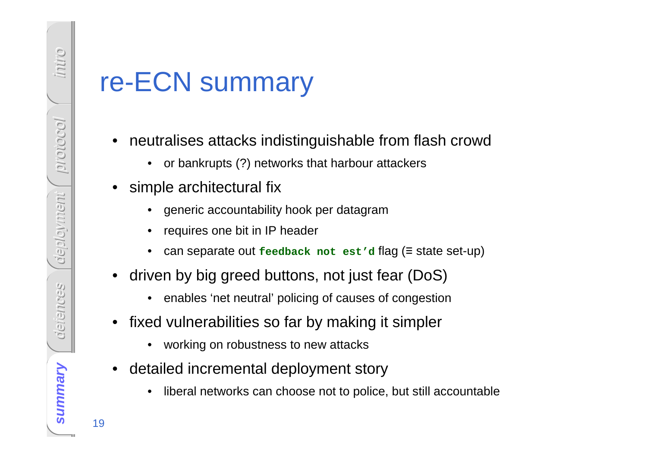- TE-ECN SUMMATY<br>
 neutralises attacks indistinguishable from flash crowd<br>
 or bankrupts (?) networks that harbour attackers<br>
 simple architectural fix<br>
 generic accountability hook per datagram<br>
 requires one bit in IP
	-
	- -
		-
		- ≡ state set-up)
	- • driven by big greed buttons, not just fear (DoS)
		- $\bullet$ enables 'net neutral' policing of causes of congestion
	- $\bullet$  fixed vulnerabilities so far by making it simpler
		- •working on robustness to new attacks
	- • detailed incremental deployment story
		- •liberal networks can choose not to police, but still accountable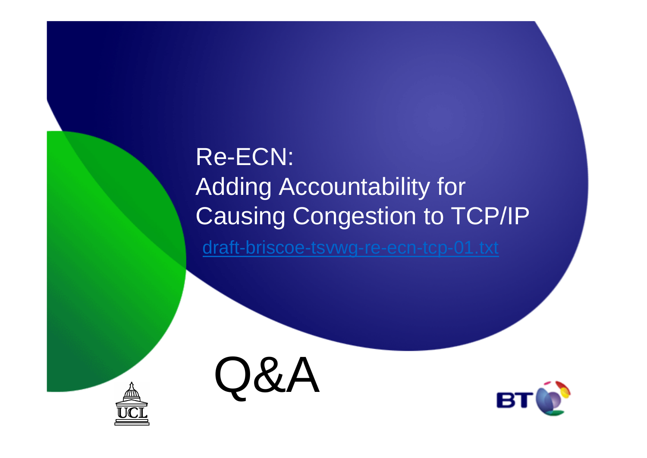# Re-ECN:Adding Accountability for Causing Congestion to TCP/IP

draft-briscoe-tsvwg-re-ecn-tcp-01.txt





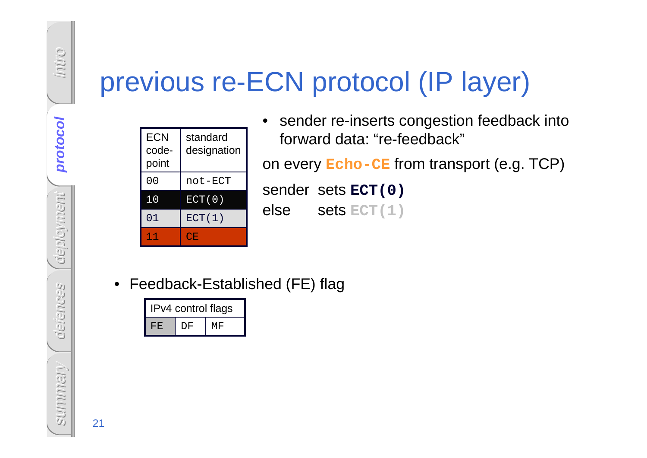| <b>ECN</b><br>code-<br>point | standard<br>designation |
|------------------------------|-------------------------|
| 0 <sub>0</sub>               | not-ECT                 |
| $10\,$                       | ECT(0)                  |
| 01                           | ECT(1)                  |
| 11                           | CE                      |

- **Supervious re-ECN protocol (IP layer)**<br>
Supervious re-sender re-inserts congestion feedback<br>
Supervious re-sender sets ECT (0)<br>  $\frac{10}{200}$  is extra and the sender sets ECT (0)<br>  $\frac{1}{200}$  is extra and the sender sets • sender re-inserts congestion feedback into forward data: "re-feedback"on every **Echo-CE** from transport (e.g. TCP) sender sets **ECT(0)** else sets **ECT(1)**
	- Feedback-Established (FE) flag

| IPv4 control flags |    |    |  |  |  |  |
|--------------------|----|----|--|--|--|--|
| FF.                | DF | МF |  |  |  |  |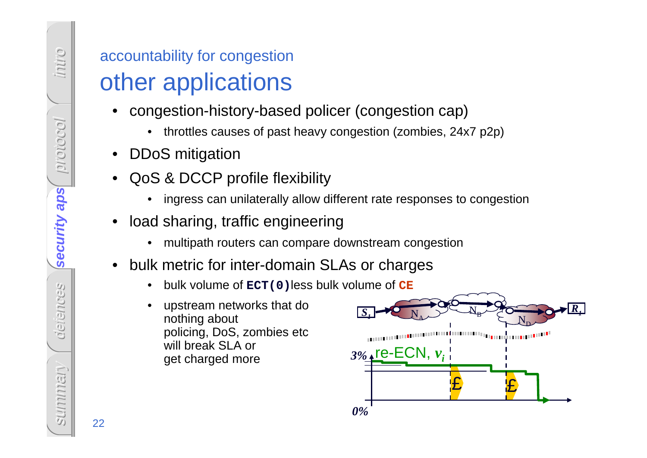- -
- 
- -
- -
- -
	-



o.nun

protocol

security aps

**security aps**

defences